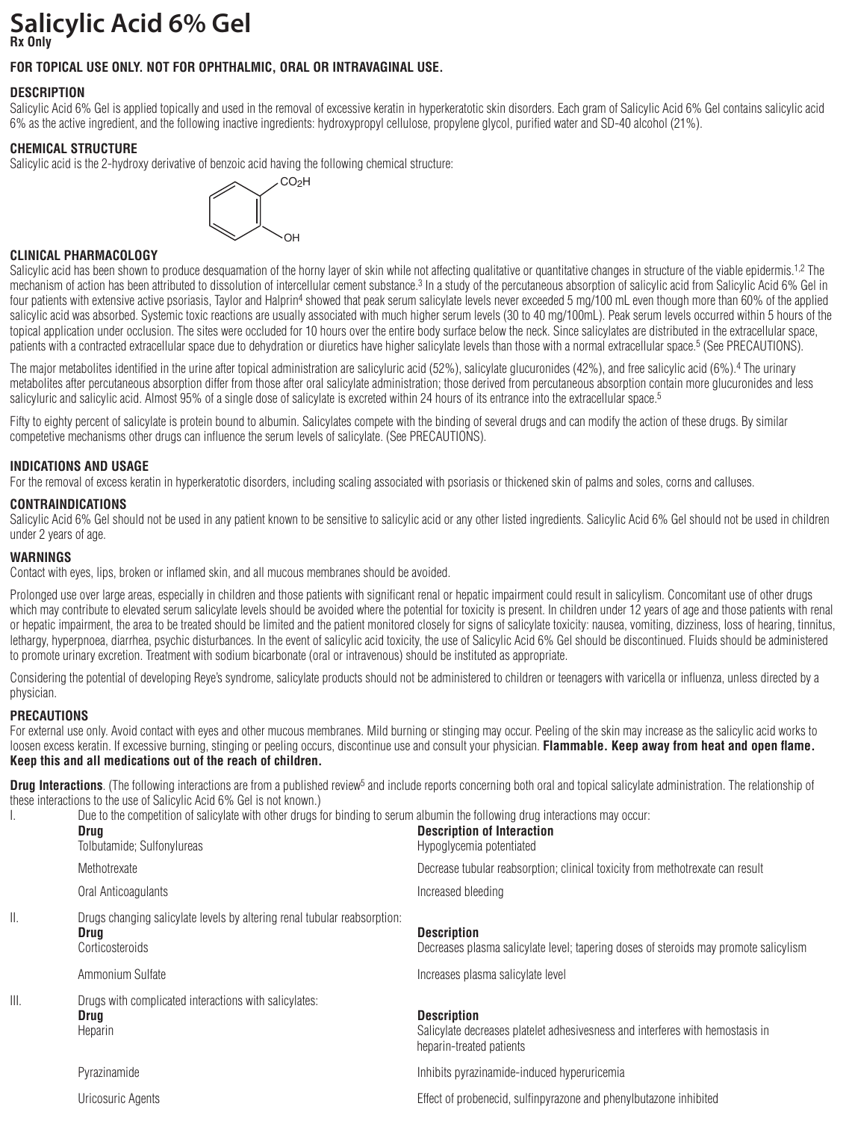# **Salicylic Acid 6% Gel Rx Only**

# **FOR TOPICAL USE ONLY. NOT FOR OPHTHALMIC, ORAL OR INTRAVAGINAL USE.**

# **DESCRIPTION**

Salicylic Acid 6% Gel is applied topically and used in the removal of excessive keratin in hyperkeratotic skin disorders. Each gram of Salicylic Acid 6% Gel contains salicylic acid 6% as the active ingredient, and the following inactive ingredients: hydroxypropyl cellulose, propylene glycol, purified water and SD-40 alcohol (21%).

# **CHEMICAL STRUCTURE**

Salicylic acid is the 2-hydroxy derivative of benzoic acid having the following chemical structure:



# **CLINICAL PHARMACOLOGY**

Salicylic acid has been shown to produce desquamation of the horny layer of skin while not affecting qualitative or quantitative changes in structure of the viable epidermis.<sup>1,2</sup> The mechanism of action has been attributed to dissolution of intercellular cement substance.3 In a study of the percutaneous absorption of salicylic acid from Salicylic Acid 6% Gel in four patients with extensive active psoriasis, Taylor and Halprin<sup>4</sup> showed that peak serum salicylate levels never exceeded 5 mg/100 mL even though more than 60% of the applied salicylic acid was absorbed. Systemic toxic reactions are usually associated with much higher serum levels (30 to 40 mg/100mL). Peak serum levels occurred within 5 hours of the topical application under occlusion. The sites were occluded for 10 hours over the entire body surface below the neck. Since salicylates are distributed in the extracellular space, patients with a contracted extracellular space due to dehydration or diuretics have higher salicylate levels than those with a normal extracellular space.5 (See PRECAUTIONS).

The major metabolites identified in the urine after topical administration are salicyluric acid (52%), salicylate glucuronides (42%), and free salicylic acid (6%).4 The urinary metabolites after percutaneous absorption differ from those after oral salicylate administration; those derived from percutaneous absorption contain more glucuronides and less salicyluric and salicylic acid. Almost 95% of a single dose of salicylate is excreted within 24 hours of its entrance into the extracellular space.<sup>5</sup>

Fifty to eighty percent of salicylate is protein bound to albumin. Salicylates compete with the binding of several drugs and can modify the action of these drugs. By similar competetive mechanisms other drugs can influence the serum levels of salicylate. (See PRECAUTIONS).

### **INDICATIONS AND USAGE**

For the removal of excess keratin in hyperkeratotic disorders, including scaling associated with psoriasis or thickened skin of palms and soles, corns and calluses.

# **CONTRAINDICATIONS**

Salicylic Acid 6% Gel should not be used in any patient known to be sensitive to salicylic acid or any other listed ingredients. Salicylic Acid 6% Gel should not be used in children under 2 years of age.

# **WARNINGS**

Contact with eyes, lips, broken or inflamed skin, and all mucous membranes should be avoided.

Prolonged use over large areas, especially in children and those patients with significant renal or hepatic impairment could result in salicylism. Concomitant use of other drugs which may contribute to elevated serum salicylate levels should be avoided where the potential for toxicity is present. In children under 12 years of age and those patients with renal or hepatic impairment, the area to be treated should be limited and the patient monitored closely for signs of salicylate toxicity: nausea, vomiting, dizziness, loss of hearing, tinnitus, lethargy, hyperpnoea, diarrhea, psychic disturbances. In the event of salicylic acid toxicity, the use of Salicylic Acid 6% Gel should be discontinued. Fluids should be administered to promote urinary excretion. Treatment with sodium bicarbonate (oral or intravenous) should be instituted as appropriate.

Considering the potential of developing Reye's syndrome, salicylate products should not be administered to children or teenagers with varicella or influenza, unless directed by a physician.

# **PRECAUTIONS**

For external use only. Avoid contact with eyes and other mucous membranes. Mild burning or stinging may occur. Peeling of the skin may increase as the salicylic acid works to loosen excess keratin. If excessive burning, stinging or peeling occurs, discontinue use and consult your physician. Flammable. Keep away from heat and open flame. **Keep this and all medications out of the reach of children.**

**Drug Interactions**. (The following interactions are from a published review<sup>5</sup> and include reports concerning both oral and topical salicylate administration. The relationship of these interactions to the use of Salicylic Acid 6% Gel is not known.)

|      | Due to the competition of salicylate with other drugs for binding to serum albumin the following drug interactions may occur:<br>Drug<br>Tolbutamide; Sulfonylureas | <b>Description of Interaction</b><br>Hypoglycemia potentiated                                                                   |
|------|---------------------------------------------------------------------------------------------------------------------------------------------------------------------|---------------------------------------------------------------------------------------------------------------------------------|
|      | Methotrexate                                                                                                                                                        | Decrease tubular reabsorption; clinical toxicity from methotrexate can result                                                   |
|      | Oral Anticoagulants                                                                                                                                                 | Increased bleeding                                                                                                              |
| II.  | Drugs changing salicylate levels by altering renal tubular reabsorption:<br>Drua<br>Corticosteroids                                                                 | <b>Description</b><br>Decreases plasma salicylate level; tapering doses of steroids may promote salicylism                      |
|      | Ammonium Sulfate                                                                                                                                                    | Increases plasma salicylate level                                                                                               |
| III. | Drugs with complicated interactions with salicylates:<br>Drug<br>Heparin                                                                                            | <b>Description</b><br>Salicylate decreases platelet adhesivesness and interferes with hemostasis in<br>heparin-treated patients |
|      | Pyrazinamide                                                                                                                                                        | Inhibits pyrazinamide-induced hyperuricemia                                                                                     |
|      | Uricosuric Agents                                                                                                                                                   | Effect of probenecid, sulfinpyrazone and phenylbutazone inhibited                                                               |
|      |                                                                                                                                                                     |                                                                                                                                 |